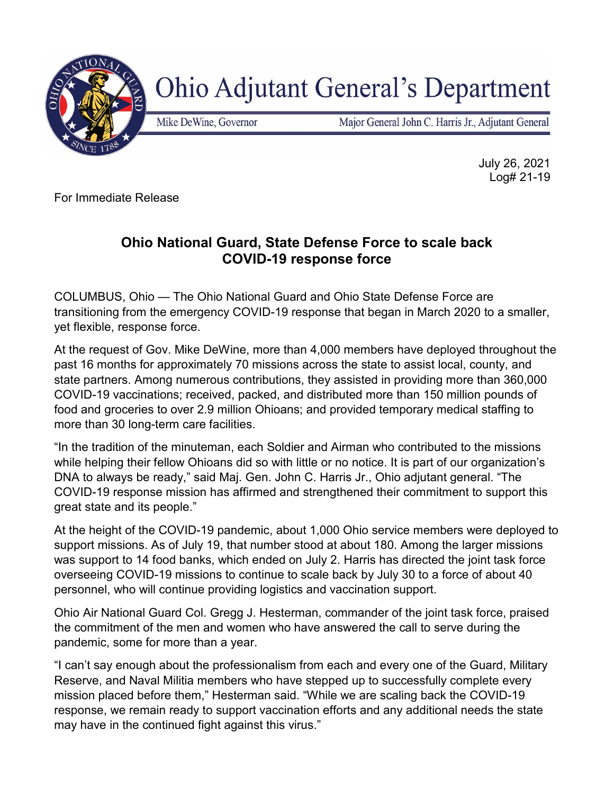

**Ohio Adjutant General's Department** 

Mike DeWine, Governor

Major General John C. Harris Jr., Adjutant General

July 26, 2021 Log# 21-19

For Immediate Release

## **Ohio National Guard, State Defense Force to scale back COVID-19 response force**

COLUMBUS, Ohio — The Ohio National Guard and Ohio State Defense Force are transitioning from the emergency COVID-19 response that began in March 2020 to a smaller, yet flexible, response force.

At the request of Gov. Mike DeWine, more than 4,000 members have deployed throughout the past 16 months for approximately 70 missions across the state to assist local, county, and state partners. Among numerous contributions, they assisted in providing more than 360,000 COVID-19 vaccinations; received, packed, and distributed more than 150 million pounds of food and groceries to over 2.9 million Ohioans; and provided temporary medical staffing to more than 30 long-term care facilities.

"In the tradition of the minuteman, each Soldier and Airman who contributed to the missions while helping their fellow Ohioans did so with little or no notice. It is part of our organization's DNA to always be ready," said Maj. Gen. John C. Harris Jr., Ohio adjutant general. "The COVID-19 response mission has affirmed and strengthened their commitment to support this great state and its people."

At the height of the COVID-19 pandemic, about 1,000 Ohio service members were deployed to support missions. As of July 19, that number stood at about 180. Among the larger missions was support to 14 food banks, which ended on July 2. Harris has directed the joint task force overseeing COVID-19 missions to continue to scale back by July 30 to a force of about 40 personnel, who will continue providing logistics and vaccination support.

Ohio Air National Guard Col. Gregg J. Hesterman, commander of the joint task force, praised the commitment of the men and women who have answered the call to serve during the pandemic, some for more than a year.

"I can't say enough about the professionalism from each and every one of the Guard, Military Reserve, and Naval Militia members who have stepped up to successfully complete every mission placed before them," Hesterman said. "While we are scaling back the COVID-19 response, we remain ready to support vaccination efforts and any additional needs the state may have in the continued fight against this virus."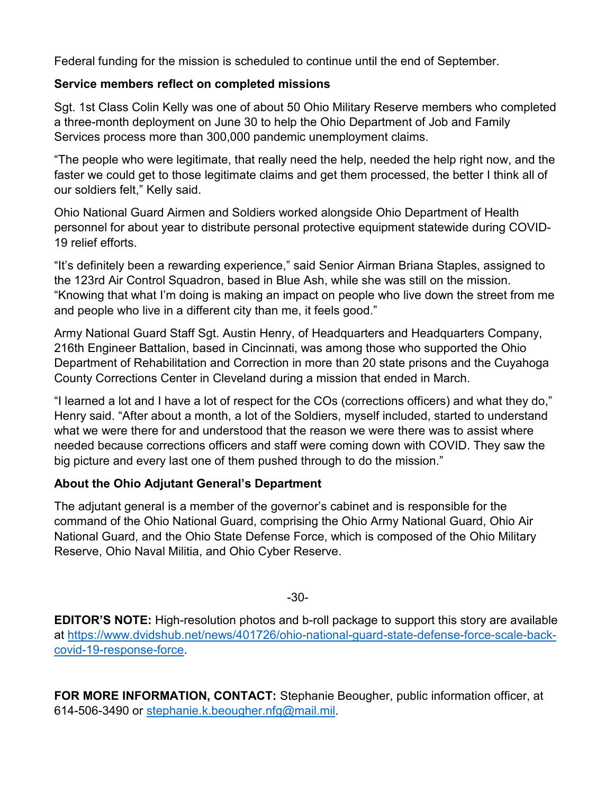Federal funding for the mission is scheduled to continue until the end of September.

## **Service members reflect on completed missions**

Sgt. 1st Class Colin Kelly was one of about 50 Ohio Military Reserve members who completed a three-month deployment on June 30 to help the Ohio Department of Job and Family Services process more than 300,000 pandemic unemployment claims.

"The people who were legitimate, that really need the help, needed the help right now, and the faster we could get to those legitimate claims and get them processed, the better I think all of our soldiers felt," Kelly said.

Ohio National Guard Airmen and Soldiers worked alongside Ohio Department of Health personnel for about year to distribute personal protective equipment statewide during COVID-19 relief efforts.

"It's definitely been a rewarding experience," said Senior Airman Briana Staples, assigned to the 123rd Air Control Squadron, based in Blue Ash, while she was still on the mission. "Knowing that what I'm doing is making an impact on people who live down the street from me and people who live in a different city than me, it feels good."

Army National Guard Staff Sgt. Austin Henry, of Headquarters and Headquarters Company, 216th Engineer Battalion, based in Cincinnati, was among those who supported the Ohio Department of Rehabilitation and Correction in more than 20 state prisons and the Cuyahoga County Corrections Center in Cleveland during a mission that ended in March.

"I learned a lot and I have a lot of respect for the COs (corrections officers) and what they do," Henry said. "After about a month, a lot of the Soldiers, myself included, started to understand what we were there for and understood that the reason we were there was to assist where needed because corrections officers and staff were coming down with COVID. They saw the big picture and every last one of them pushed through to do the mission."

## **About the Ohio Adjutant General's Department**

The adjutant general is a member of the governor's cabinet and is responsible for the command of the Ohio National Guard, comprising the Ohio Army National Guard, Ohio Air National Guard, and the Ohio State Defense Force, which is composed of the Ohio Military Reserve, Ohio Naval Militia, and Ohio Cyber Reserve.

-30-

**EDITOR'S NOTE:** High-resolution photos and b-roll package to support this story are available at [https://www.dvidshub.net/news/401726/ohio-national-guard-state-defense-force-scale-back](https://www.dvidshub.net/news/401726/ohio-national-guard-state-defense-force-scale-back-covid-19-response-force)[covid-19-response-force.](https://www.dvidshub.net/news/401726/ohio-national-guard-state-defense-force-scale-back-covid-19-response-force)

**FOR MORE INFORMATION, CONTACT:** Stephanie Beougher, public information officer, at 614-506-3490 or [stephanie.k.beougher.nfg@mail.mil.](mailto:stephanie.k.beougher.nfg@mail.mil)